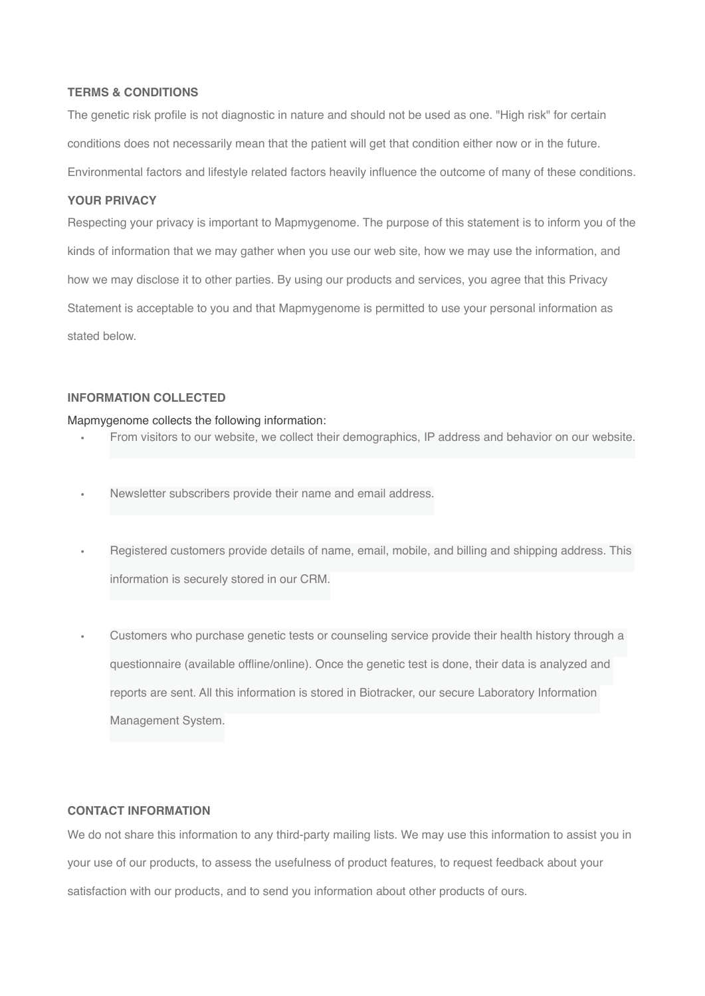# **TERMS & CONDITIONS**

The genetic risk profile is not diagnostic in nature and should not be used as one. "High risk" for certain conditions does not necessarily mean that the patient will get that condition either now or in the future. Environmental factors and lifestyle related factors heavily influence the outcome of many of these conditions.

# **YOUR PRIVACY**

Respecting your privacy is important to Mapmygenome. The purpose of this statement is to inform you of the kinds of information that we may gather when you use our web site, how we may use the information, and how we may disclose it to other parties. By using our products and services, you agree that this Privacy Statement is acceptable to you and that Mapmygenome is permitted to use your personal information as stated below.

# **INFORMATION COLLECTED**

# Mapmygenome collects the following information:

- From visitors to our website, we collect their demographics, IP address and behavior on our website.
- Newsletter subscribers provide their name and email address.
- Registered customers provide details of name, email, mobile, and billing and shipping address. This information is securely stored in our CRM.
- Customers who purchase genetic tests or counseling service provide their health history through a questionnaire (available offline/online). Once the genetic test is done, their data is analyzed and reports are sent. All this information is stored in Biotracker, our secure Laboratory Information Management System.

# **CONTACT INFORMATION**

We do not share this information to any third-party mailing lists. We may use this information to assist you in your use of our products, to assess the usefulness of product features, to request feedback about your satisfaction with our products, and to send you information about other products of ours.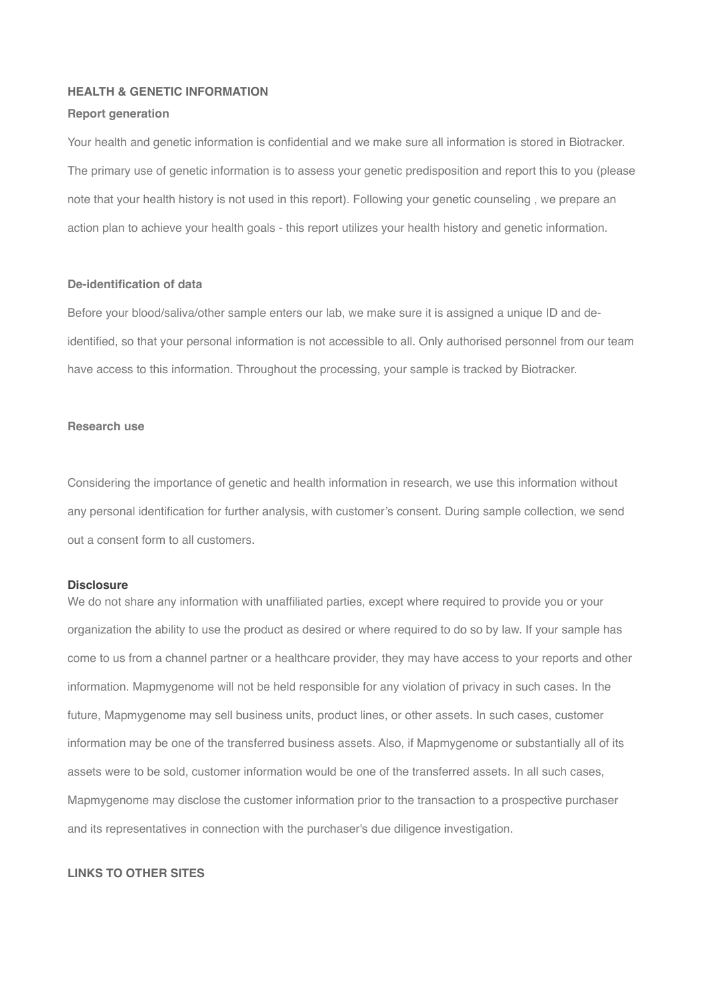# **HEALTH & GENETIC INFORMATION**

#### **Report generation**

Your health and genetic information is confidential and we make sure all information is stored in Biotracker. The primary use of genetic information is to assess your genetic predisposition and report this to you (please note that your health history is not used in this report). Following your genetic counseling , we prepare an action plan to achieve your health goals - this report utilizes your health history and genetic information.

# **De-identification of data**

Before your blood/saliva/other sample enters our lab, we make sure it is assigned a unique ID and deidentified, so that your personal information is not accessible to all. Only authorised personnel from our team have access to this information. Throughout the processing, your sample is tracked by Biotracker.

# **Research use**

Considering the importance of genetic and health information in research, we use this information without any personal identification for further analysis, with customer's consent. During sample collection, we send out a consent form to all customers.

#### **Disclosure**

We do not share any information with unaffiliated parties, except where required to provide you or your organization the ability to use the product as desired or where required to do so by law. If your sample has come to us from a channel partner or a healthcare provider, they may have access to your reports and other information. Mapmygenome will not be held responsible for any violation of privacy in such cases. In the future, Mapmygenome may sell business units, product lines, or other assets. In such cases, customer information may be one of the transferred business assets. Also, if Mapmygenome or substantially all of its assets were to be sold, customer information would be one of the transferred assets. In all such cases, Mapmygenome may disclose the customer information prior to the transaction to a prospective purchaser and its representatives in connection with the purchaser's due diligence investigation.

# **LINKS TO OTHER SITES**